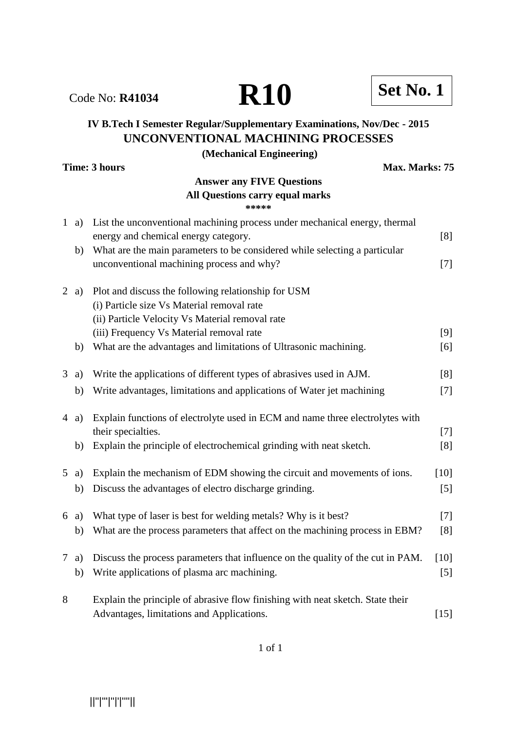# **IV B.Tech I Semester Regular/Supplementary Examinations, Nov/Dec - 2015 UNCONVENTIONAL MACHINING PROCESSES**

**(Mechanical Engineering) Time: 3 hours** Max. Marks: 75

# **Answer any FIVE Questions All Questions carry equal marks \*\*\*\*\*** 1 a) List the unconventional machining process under mechanical energy, thermal energy and chemical energy category. [8] b) What are the main parameters to be considered while selecting a particular unconventional machining process and why? [7] 2 a) Plot and discuss the following relationship for USM (i) Particle size Vs Material removal rate (ii) Particle Velocity Vs Material removal rate (iii) Frequency Vs Material removal rate [9] b) What are the advantages and limitations of Ultrasonic machining. [6] 3 a) Write the applications of different types of abrasives used in AJM. [8] b) Write advantages, limitations and applications of Water jet machining [7] 4 a) Explain functions of electrolyte used in ECM and name three electrolytes with their specialties. [7] b) Explain the principle of electrochemical grinding with neat sketch. [8] 5 a) Explain the mechanism of EDM showing the circuit and movements of ions. [10] b) Discuss the advantages of electro discharge grinding. [5] 6 a) What type of laser is best for welding metals? Why is it best? [7] b) What are the process parameters that affect on the machining process in EBM? [8] 7 a) Discuss the process parameters that influence on the quality of the cut in PAM. [10] b) Write applications of plasma arc machining. [5] 8 Explain the principle of abrasive flow finishing with neat sketch. State their Advantages, limitations and Applications. [15]

1 of 1

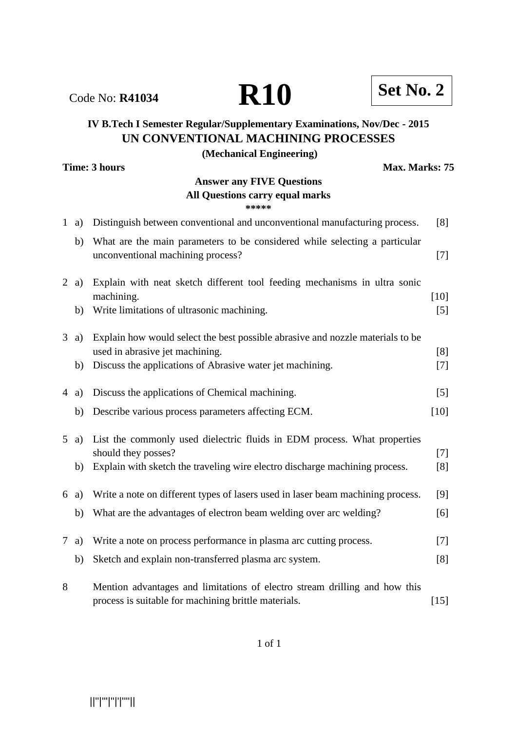# **IV B.Tech I Semester Regular/Supplementary Examinations, Nov/Dec - 2015 UN CONVENTIONAL MACHINING PROCESSES**

**(Mechanical Engineering)**

#### **Answer any FIVE Questions All Questions carry equal marks**

**\*\*\*\*\***

| $\mathbf{1}$   | a)           | Distinguish between conventional and unconventional manufacturing process.                                                                                                     | [8]           |
|----------------|--------------|--------------------------------------------------------------------------------------------------------------------------------------------------------------------------------|---------------|
|                | b)           | What are the main parameters to be considered while selecting a particular<br>unconventional machining process?                                                                | $[7]$         |
|                | $2$ a)<br>b) | Explain with neat sketch different tool feeding mechanisms in ultra sonic<br>machining.<br>Write limitations of ultrasonic machining.                                          | $[10]$<br>[5] |
|                | $3$ a)<br>b) | Explain how would select the best possible abrasive and nozzle materials to be<br>used in abrasive jet machining.<br>Discuss the applications of Abrasive water jet machining. | [8]<br>$[7]$  |
| $\overline{4}$ | a)           | Discuss the applications of Chemical machining.                                                                                                                                | $[5]$         |
|                | b)           | Describe various process parameters affecting ECM.                                                                                                                             | $[10]$        |
|                | $5$ a)<br>b) | List the commonly used dielectric fluids in EDM process. What properties<br>should they posses?<br>Explain with sketch the traveling wire electro discharge machining process. | $[7]$<br>[8]  |
| 6              | a)           | Write a note on different types of lasers used in laser beam machining process.                                                                                                | $[9]$         |
|                | b)           | What are the advantages of electron beam welding over arc welding?                                                                                                             | [6]           |
| $\tau$         | a)           | Write a note on process performance in plasma arc cutting process.                                                                                                             | $[7]$         |
|                | b)           | Sketch and explain non-transferred plasma arc system.                                                                                                                          | [8]           |
| 8              |              | Mention advantages and limitations of electro stream drilling and how this<br>process is suitable for machining brittle materials.                                             | $[15]$        |

1 of 1

**Code No: R41034 R10 Set No. 2** 

**Time: 3 hours** Max. Marks: 75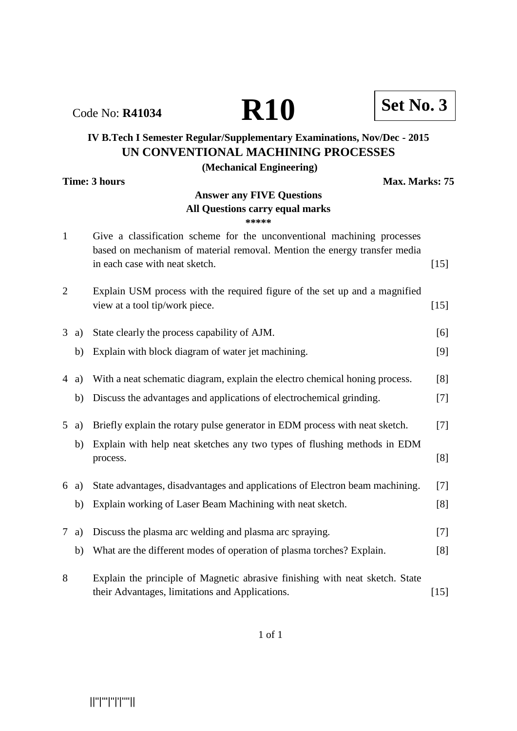Code No: **R41034 R10 Set No. 3**

## **IV B.Tech I Semester Regular/Supplementary Examinations, Nov/Dec - 2015 UN CONVENTIONAL MACHINING PROCESSES**

#### **(Mechanical Engineering)**

**Time: 3 hours** Max. Marks: 75

# **Answer any FIVE Questions All Questions carry equal marks**

**\*\*\*\*\***

| $\mathbf{1}$ |    | Give a classification scheme for the unconventional machining processes<br>based on mechanism of material removal. Mention the energy transfer media<br>in each case with neat sketch. | $[15]$ |
|--------------|----|----------------------------------------------------------------------------------------------------------------------------------------------------------------------------------------|--------|
| 2            |    | Explain USM process with the required figure of the set up and a magnified<br>view at a tool tip/work piece.                                                                           | $[15]$ |
| 3            | a) | State clearly the process capability of AJM.                                                                                                                                           | [6]    |
|              | b) | Explain with block diagram of water jet machining.                                                                                                                                     | [9]    |
| 4            | a) | With a neat schematic diagram, explain the electro chemical honing process.                                                                                                            | [8]    |
|              | b) | Discuss the advantages and applications of electrochemical grinding.                                                                                                                   | $[7]$  |
| 5            | a) | Briefly explain the rotary pulse generator in EDM process with neat sketch.                                                                                                            | $[7]$  |
|              | b) | Explain with help neat sketches any two types of flushing methods in EDM<br>process.                                                                                                   | [8]    |
| 6            | a) | State advantages, disadvantages and applications of Electron beam machining.                                                                                                           | $[7]$  |
|              | b) | Explain working of Laser Beam Machining with neat sketch.                                                                                                                              | [8]    |
| $\tau$       | a) | Discuss the plasma arc welding and plasma arc spraying.                                                                                                                                | $[7]$  |
|              | b) | What are the different modes of operation of plasma torches? Explain.                                                                                                                  | [8]    |
| 8            |    | Explain the principle of Magnetic abrasive finishing with neat sketch. State<br>their Advantages, limitations and Applications.                                                        | $[15]$ |

1 of 1